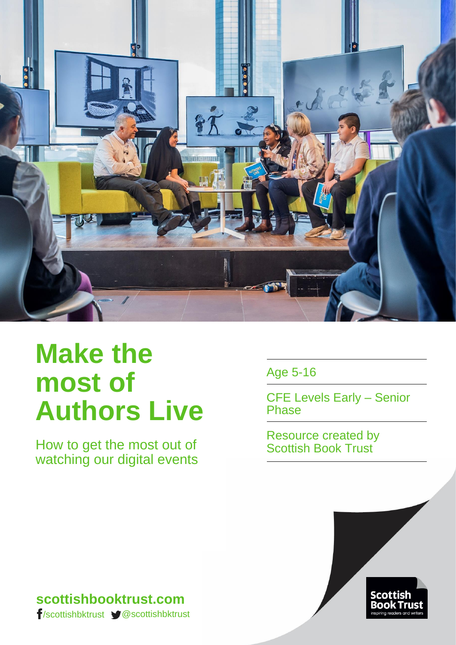

# **Make the most of Authors Live**

How to get the most out of watching our digital events Age 5-16

CFE Levels Early – Senior Phase

Resource created by Scottish Book Trust



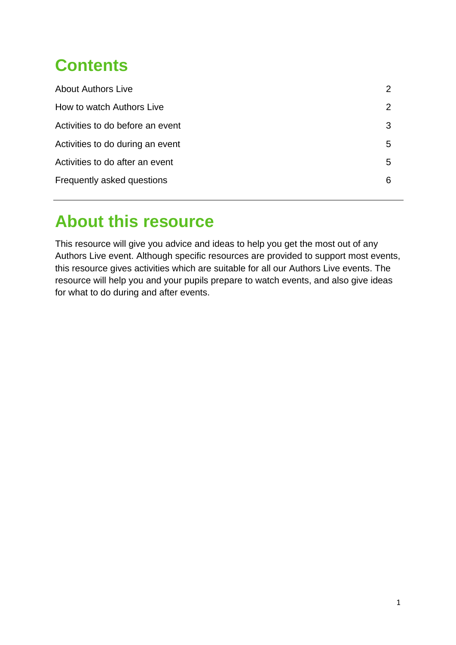# **Contents**

| <b>About Authors Live</b>        | 2 |
|----------------------------------|---|
| How to watch Authors Live        | 2 |
| Activities to do before an event | 3 |
| Activities to do during an event | 5 |
| Activities to do after an event  | 5 |
| Frequently asked questions       | 6 |
|                                  |   |

# **About this resource**

This resource will give you advice and ideas to help you get the most out of any Authors Live event. Although specific resources are provided to support most events, this resource gives activities which are suitable for all our Authors Live events. The resource will help you and your pupils prepare to watch events, and also give ideas for what to do during and after events.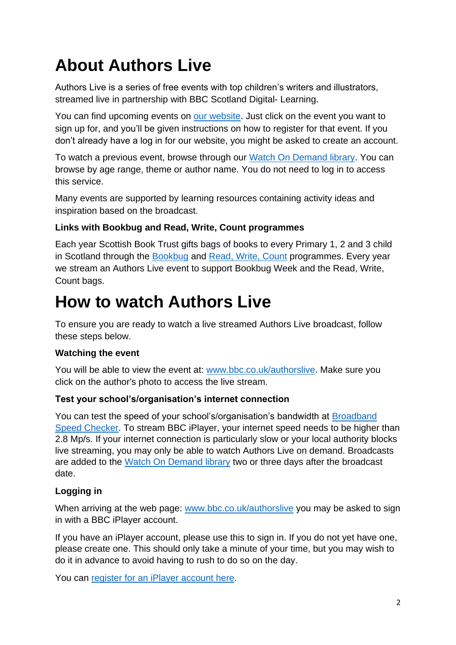# **About Authors Live**

Authors Live is a series of free events with top children's writers and illustrators, streamed live in partnership with BBC Scotland Digital- Learning.

You can find upcoming events on [our website.](http://scottishbooktrust.com/learning/teachers-librarians/authors-live/authors-live-eventshttp:/bit.ly/AuthorsLiveUpcoming) Just click on the event you want to sign up for, and you'll be given instructions on how to register for that event. If you don't already have a log in for our website, you might be asked to create an account.

To watch a previous event, browse through our [Watch On Demand library.](http://scottishbooktrust.com/learning/teachers-librarians/authors-live/watch-on-demand) You can browse by age range, theme or author name. You do not need to log in to access this service.

Many events are supported by learning resources containing activity ideas and inspiration based on the broadcast.

### **Links with Bookbug and Read, Write, Count programmes**

Each year Scottish Book Trust gifts bags of books to every Primary 1, 2 and 3 child in Scotland through the [Bookbug](http://scottishbooktrust.com/bookbug) and [Read, Write, Count](http://scottishbooktrust.com/learning/read-write-count/) programmes. Every year we stream an Authors Live event to support Bookbug Week and the Read, Write, Count bags.

# **How to watch Authors Live**

To ensure you are ready to watch a live streamed Authors Live broadcast, follow these steps below.

# **Watching the event**

You will be able to view the event at: [www.bbc.co.uk/authorslive.](http://www.bbc.co.uk/authorslive) Make sure you click on the author's photo to access the live stream.

### **Test your school's/organisation's internet connection**

You can test the speed of your school's/organisation's bandwidth at [Broadband](http://www.broadbandspeedchecker.co.uk/)  [Speed Checker.](http://www.broadbandspeedchecker.co.uk/) To stream BBC iPlayer, your internet speed needs to be higher than 2.8 Mp/s. If your internet connection is particularly slow or your local authority blocks live streaming, you may only be able to watch Authors Live on demand. Broadcasts are added to the [Watch On Demand library](http://scottishbooktrust.com/learning/teachers-librarians/authors-live/watch-on-demand) two or three days after the broadcast date.

# **Logging in**

When arriving at the web page: [www.bbc.co.uk/authorslive](http://www.bbc.co.uk/authorslive) you may be asked to sign in with a BBC iPlayer account.

If you have an iPlayer account, please use this to sign in. If you do not yet have one, please create one. This should only take a minute of your time, but you may wish to do it in advance to avoid having to rush to do so on the day.

You can [register for an iPlayer account here.](https://account.bbc.com/register)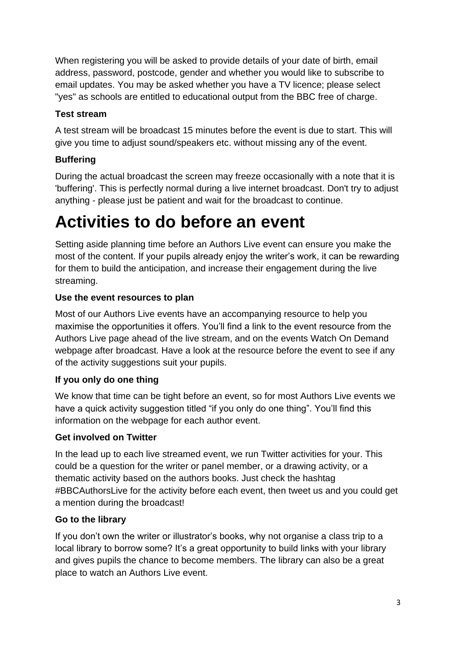When registering you will be asked to provide details of your date of birth, email address, password, postcode, gender and whether you would like to subscribe to email updates. You may be asked whether you have a TV licence; please select "yes" as schools are entitled to educational output from the BBC free of charge.

### **Test stream**

A test stream will be broadcast 15 minutes before the event is due to start. This will give you time to adjust sound/speakers etc. without missing any of the event.

# **Buffering**

During the actual broadcast the screen may freeze occasionally with a note that it is 'buffering'. This is perfectly normal during a live internet broadcast. Don't try to adjust anything - please just be patient and wait for the broadcast to continue.

# **Activities to do before an event**

Setting aside planning time before an Authors Live event can ensure you make the most of the content. If your pupils already enjoy the writer's work, it can be rewarding for them to build the anticipation, and increase their engagement during the live streaming.

### **Use the event resources to plan**

Most of our Authors Live events have an accompanying resource to help you maximise the opportunities it offers. You'll find a link to the event resource from the Authors Live page ahead of the live stream, and on the events Watch On Demand webpage after broadcast. Have a look at the resource before the event to see if any of the activity suggestions suit your pupils.

### **If you only do one thing**

We know that time can be tight before an event, so for most Authors Live events we have a quick activity suggestion titled "if you only do one thing". You'll find this information on the webpage for each author event.

#### **Get involved on Twitter**

In the lead up to each live streamed event, we run Twitter activities for your. This could be a question for the writer or panel member, or a drawing activity, or a thematic activity based on the authors books. Just check the hashtag #BBCAuthorsLive for the activity before each event, then tweet us and you could get a mention during the broadcast!

### **Go to the library**

If you don't own the writer or illustrator's books, why not organise a class trip to a local library to borrow some? It's a great opportunity to build links with your library and gives pupils the chance to become members. The library can also be a great place to watch an Authors Live event.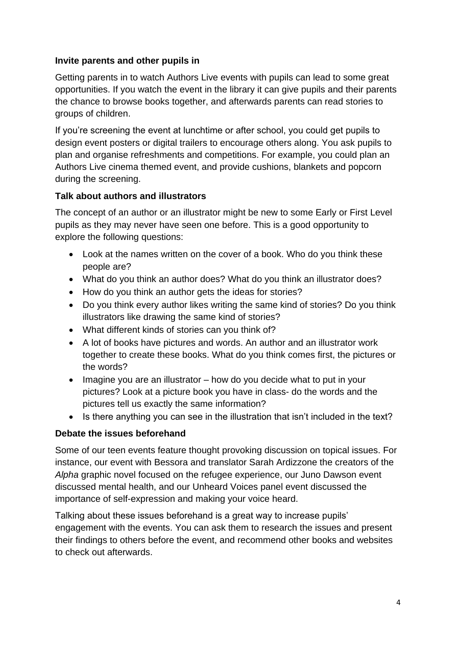#### **Invite parents and other pupils in**

Getting parents in to watch Authors Live events with pupils can lead to some great opportunities. If you watch the event in the library it can give pupils and their parents the chance to browse books together, and afterwards parents can read stories to groups of children.

If you're screening the event at lunchtime or after school, you could get pupils to design event posters or digital trailers to encourage others along. You ask pupils to plan and organise refreshments and competitions. For example, you could plan an Authors Live cinema themed event, and provide cushions, blankets and popcorn during the screening.

#### **Talk about authors and illustrators**

The concept of an author or an illustrator might be new to some Early or First Level pupils as they may never have seen one before. This is a good opportunity to explore the following questions:

- Look at the names written on the cover of a book. Who do you think these people are?
- What do you think an author does? What do you think an illustrator does?
- How do you think an author gets the ideas for stories?
- Do you think every author likes writing the same kind of stories? Do you think illustrators like drawing the same kind of stories?
- What different kinds of stories can you think of?
- A lot of books have pictures and words. An author and an illustrator work together to create these books. What do you think comes first, the pictures or the words?
- $\bullet$  Imagine you are an illustrator how do you decide what to put in your pictures? Look at a picture book you have in class- do the words and the pictures tell us exactly the same information?
- Is there anything you can see in the illustration that isn't included in the text?

### **Debate the issues beforehand**

Some of our teen events feature thought provoking discussion on topical issues. For instance, our event with Bessora and translator Sarah Ardizzone the creators of the *Alpha* graphic novel focused on the refugee experience, our Juno Dawson event discussed mental health, and our Unheard Voices panel event discussed the importance of self-expression and making your voice heard.

Talking about these issues beforehand is a great way to increase pupils' engagement with the events. You can ask them to research the issues and present their findings to others before the event, and recommend other books and websites to check out afterwards.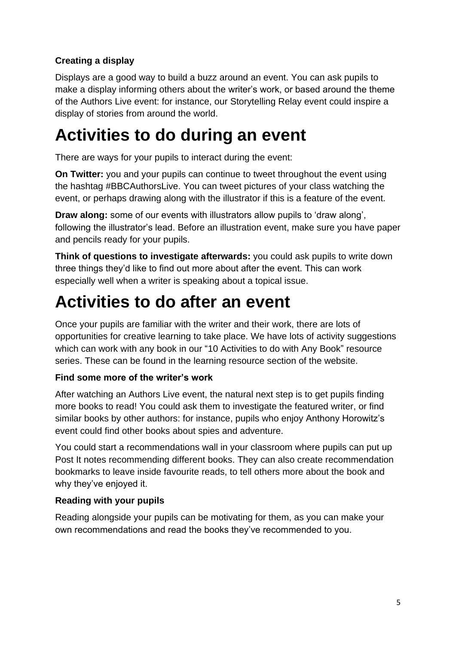# **Creating a display**

Displays are a good way to build a buzz around an event. You can ask pupils to make a display informing others about the writer's work, or based around the theme of the Authors Live event: for instance, our Storytelling Relay event could inspire a display of stories from around the world.

# **Activities to do during an event**

There are ways for your pupils to interact during the event:

**On Twitter:** you and your pupils can continue to tweet throughout the event using the hashtag #BBCAuthorsLive. You can tweet pictures of your class watching the event, or perhaps drawing along with the illustrator if this is a feature of the event.

**Draw along:** some of our events with illustrators allow pupils to 'draw along', following the illustrator's lead. Before an illustration event, make sure you have paper and pencils ready for your pupils.

**Think of questions to investigate afterwards:** you could ask pupils to write down three things they'd like to find out more about after the event. This can work especially well when a writer is speaking about a topical issue.

# **Activities to do after an event**

Once your pupils are familiar with the writer and their work, there are lots of opportunities for creative learning to take place. We have lots of activity suggestions which can work with any book in our "10 Activities to do with Any Book" resource series. These can be found in the learning resource section of the website.

### **Find some more of the writer's work**

After watching an Authors Live event, the natural next step is to get pupils finding more books to read! You could ask them to investigate the featured writer, or find similar books by other authors: for instance, pupils who enjoy Anthony Horowitz's event could find other books about spies and adventure.

You could start a recommendations wall in your classroom where pupils can put up Post It notes recommending different books. They can also create recommendation bookmarks to leave inside favourite reads, to tell others more about the book and why they've enjoyed it.

# **Reading with your pupils**

Reading alongside your pupils can be motivating for them, as you can make your own recommendations and read the books they've recommended to you.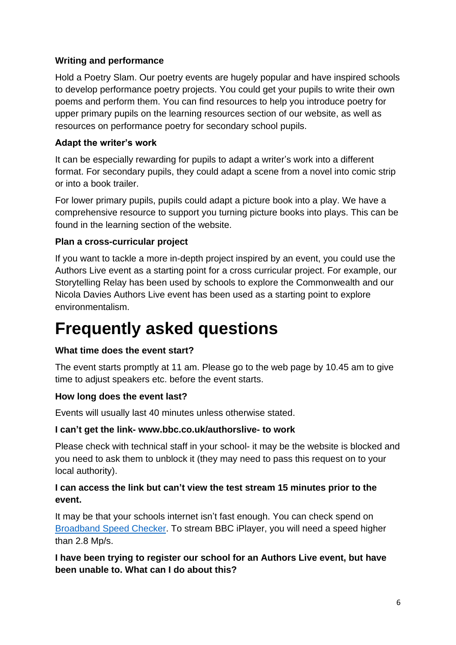#### **Writing and performance**

Hold a Poetry Slam. Our poetry events are hugely popular and have inspired schools to develop performance poetry projects. You could get your pupils to write their own poems and perform them. You can find resources to help you introduce poetry for upper primary pupils on the learning resources section of our website, as well as resources on performance poetry for secondary school pupils.

#### **Adapt the writer's work**

It can be especially rewarding for pupils to adapt a writer's work into a different format. For secondary pupils, they could adapt a scene from a novel into comic strip or into a book trailer.

For lower primary pupils, pupils could adapt a picture book into a play. We have a comprehensive resource to support you turning picture books into plays. This can be found in the learning section of the website.

#### **Plan a cross-curricular project**

If you want to tackle a more in-depth project inspired by an event, you could use the Authors Live event as a starting point for a cross curricular project. For example, our Storytelling Relay has been used by schools to explore the Commonwealth and our Nicola Davies Authors Live event has been used as a starting point to explore environmentalism.

# **Frequently asked questions**

#### **What time does the event start?**

The event starts promptly at 11 am. Please go to the web page by 10.45 am to give time to adjust speakers etc. before the event starts.

#### **How long does the event last?**

Events will usually last 40 minutes unless otherwise stated.

#### **I can't get the link- www.bbc.co.uk/authorslive- to work**

Please check with technical staff in your school- it may be the website is blocked and you need to ask them to unblock it (they may need to pass this request on to your local authority).

#### **I can access the link but can't view the test stream 15 minutes prior to the event.**

It may be that your schools internet isn't fast enough. You can check spend on [Broadband Speed Checker.](https://www.broadbandspeedchecker.co.uk/) To stream BBC iPlayer, you will need a speed higher than 2.8 Mp/s.

**I have been trying to register our school for an Authors Live event, but have been unable to. What can I do about this?**